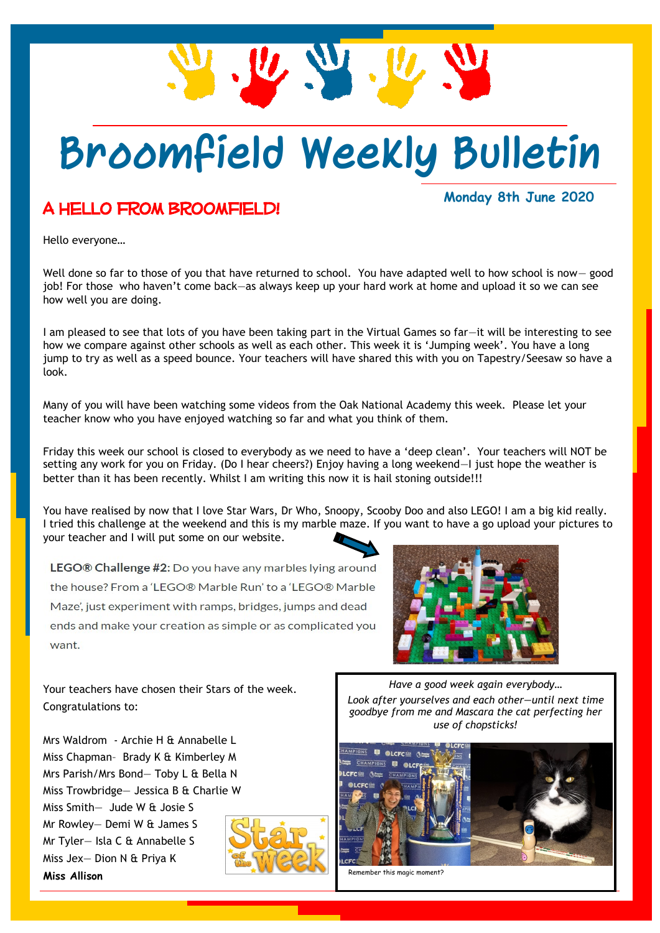

## **Broomfield Weekly Bulletin**

#### A hello from Broomfield!

#### **Monday 8th June 2020**

Hello everyone…

Well done so far to those of you that have returned to school. You have adapted well to how school is now— good job! For those who haven't come back—as always keep up your hard work at home and upload it so we can see how well you are doing.

I am pleased to see that lots of you have been taking part in the Virtual Games so far—it will be interesting to see how we compare against other schools as well as each other. This week it is 'Jumping week'. You have a long jump to try as well as a speed bounce. Your teachers will have shared this with you on Tapestry/Seesaw so have a look.

Many of you will have been watching some videos from the Oak National Academy this week. Please let your teacher know who you have enjoyed watching so far and what you think of them.

Friday this week our school is closed to everybody as we need to have a 'deep clean'. Your teachers will NOT be setting any work for you on Friday. (Do I hear cheers?) Enjoy having a long weekend—I just hope the weather is better than it has been recently. Whilst I am writing this now it is hail stoning outside!!!

You have realised by now that I love Star Wars, Dr Who, Snoopy, Scooby Doo and also LEGO! I am a big kid really. I tried this challenge at the weekend and this is my marble maze. If you want to have a go upload your pictures to your teacher and I will put some on our website.

LEGO® Challenge #2: Do you have any marbles lying around the house? From a 'LEGO® Marble Run' to a 'LEGO® Marble Maze', just experiment with ramps, bridges, jumps and dead ends and make your creation as simple or as complicated you want.



Your teachers have chosen their Stars of the week. Congratulations to:

Mrs Waldrom - Archie H & Annabelle L Miss Chapman– Brady K & Kimberley M Mrs Parish/Mrs Bond— Toby L & Bella N Miss Trowbridge— Jessica B & Charlie W Miss Smith— Jude W & Josie S Mr Rowley— Demi W & James S Mr Tyler— Isla C & Annabelle S Miss Jex— Dion N & Priya K **Miss Allison**



*Have a good week again everybody… Look after yourselves and each other—until next time goodbye from me and Mascara the cat perfecting her use of chopsticks!*



Remember this magic moment?